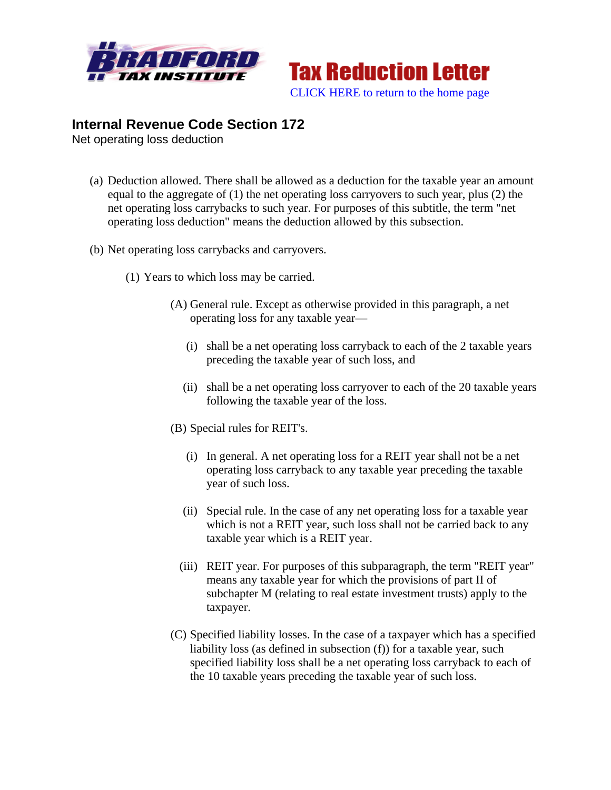



## **Internal Revenue Code Section 172**

Net operating loss deduction

- (a) Deduction allowed. There shall be allowed as a deduction for the taxable year an amount equal to the aggregate of (1) the net operating loss carryovers to such year, plus (2) the net operating loss carrybacks to such year. For purposes of this subtitle, the term "net operating loss deduction" means the deduction allowed by this subsection.
- (b) Net operating loss carrybacks and carryovers.
	- (1) Years to which loss may be carried.
		- (A) General rule. Except as otherwise provided in this paragraph, a net operating loss for any taxable year—
			- (i) shall be a net operating loss carryback to each of the 2 taxable years preceding the taxable year of such loss, and
			- (ii) shall be a net operating loss carryover to each of the 20 taxable years following the taxable year of the loss.
		- (B) Special rules for REIT's.
			- (i) In general. A net operating loss for a REIT year shall not be a net operating loss carryback to any taxable year preceding the taxable year of such loss.
			- (ii) Special rule. In the case of any net operating loss for a taxable year which is not a REIT year, such loss shall not be carried back to any taxable year which is a REIT year.
			- (iii) REIT year. For purposes of this subparagraph, the term "REIT year" means any taxable year for which the provisions of part II of subchapter M (relating to real estate investment trusts) apply to the taxpayer.
		- (C) Specified liability losses. In the case of a taxpayer which has a specified liability loss (as defined in subsection (f)) for a taxable year, such specified liability loss shall be a net operating loss carryback to each of the 10 taxable years preceding the taxable year of such loss.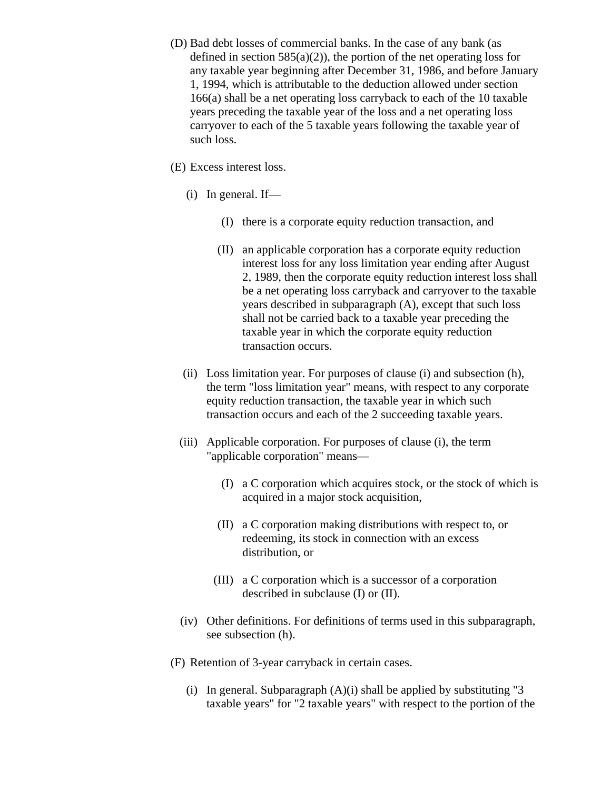- (D) Bad debt losses of commercial banks. In the case of any bank (as defined in section  $585(a)(2)$ , the portion of the net operating loss for any taxable year beginning after December 31, 1986, and before January 1, 1994, which is attributable to the deduction allowed under section 166(a) shall be a net operating loss carryback to each of the 10 taxable years preceding the taxable year of the loss and a net operating loss carryover to each of the 5 taxable years following the taxable year of such loss.
- (E) Excess interest loss.
	- (i) In general. If—
		- (I) there is a corporate equity reduction transaction, and
		- (II) an applicable corporation has a corporate equity reduction interest loss for any loss limitation year ending after August 2, 1989, then the corporate equity reduction interest loss shall be a net operating loss carryback and carryover to the taxable years described in subparagraph (A), except that such loss shall not be carried back to a taxable year preceding the taxable year in which the corporate equity reduction transaction occurs.
	- (ii) Loss limitation year. For purposes of clause (i) and subsection (h), the term "loss limitation year" means, with respect to any corporate equity reduction transaction, the taxable year in which such transaction occurs and each of the 2 succeeding taxable years.
	- (iii) Applicable corporation. For purposes of clause (i), the term "applicable corporation" means—
		- (I) a C corporation which acquires stock, or the stock of which is acquired in a major stock acquisition,
		- (II) a C corporation making distributions with respect to, or redeeming, its stock in connection with an excess distribution, or
		- (III) a C corporation which is a successor of a corporation described in subclause (I) or (II).
	- (iv) Other definitions. For definitions of terms used in this subparagraph, see subsection (h).
- (F) Retention of 3-year carryback in certain cases.
	- (i) In general. Subparagraph  $(A)(i)$  shall be applied by substituting "3 taxable years" for "2 taxable years" with respect to the portion of the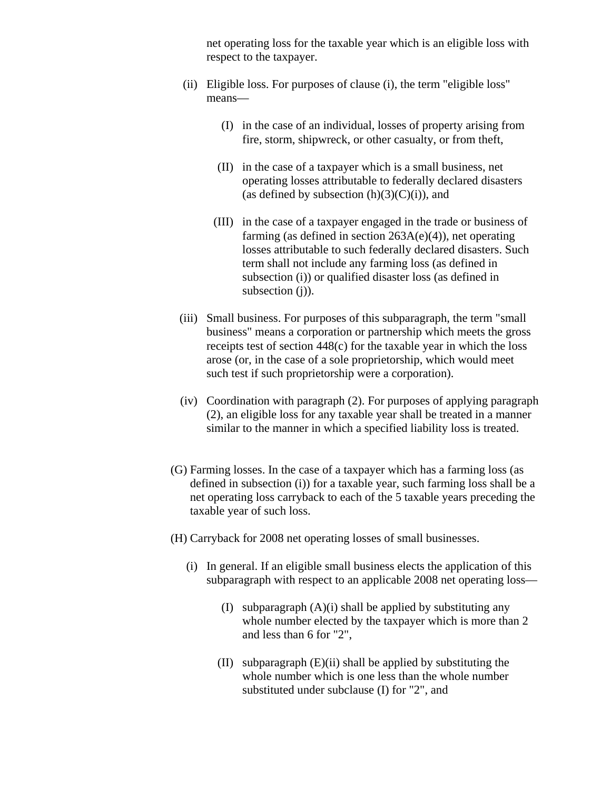net operating loss for the taxable year which is an eligible loss with respect to the taxpayer.

- (ii) Eligible loss. For purposes of clause (i), the term "eligible loss" means—
	- (I) in the case of an individual, losses of property arising from fire, storm, shipwreck, or other casualty, or from theft,
	- (II) in the case of a taxpayer which is a small business, net operating losses attributable to federally declared disasters (as defined by subsection  $(h)(3)(C)(i)$ ), and
	- (III) in the case of a taxpayer engaged in the trade or business of farming (as defined in section  $263A(e)(4)$ ), net operating losses attributable to such federally declared disasters. Such term shall not include any farming loss (as defined in subsection (i)) or qualified disaster loss (as defined in subsection (j)).
- (iii) Small business. For purposes of this subparagraph, the term "small business" means a corporation or partnership which meets the gross receipts test of section 448(c) for the taxable year in which the loss arose (or, in the case of a sole proprietorship, which would meet such test if such proprietorship were a corporation).
- (iv) Coordination with paragraph (2). For purposes of applying paragraph (2), an eligible loss for any taxable year shall be treated in a manner similar to the manner in which a specified liability loss is treated.
- (G) Farming losses. In the case of a taxpayer which has a farming loss (as defined in subsection (i)) for a taxable year, such farming loss shall be a net operating loss carryback to each of the 5 taxable years preceding the taxable year of such loss.
- (H) Carryback for 2008 net operating losses of small businesses.
	- (i) In general. If an eligible small business elects the application of this subparagraph with respect to an applicable 2008 net operating loss—
		- (I) subparagraph  $(A)(i)$  shall be applied by substituting any whole number elected by the taxpayer which is more than 2 and less than 6 for "2",
		- (II) subparagraph (E)(ii) shall be applied by substituting the whole number which is one less than the whole number substituted under subclause (I) for "2", and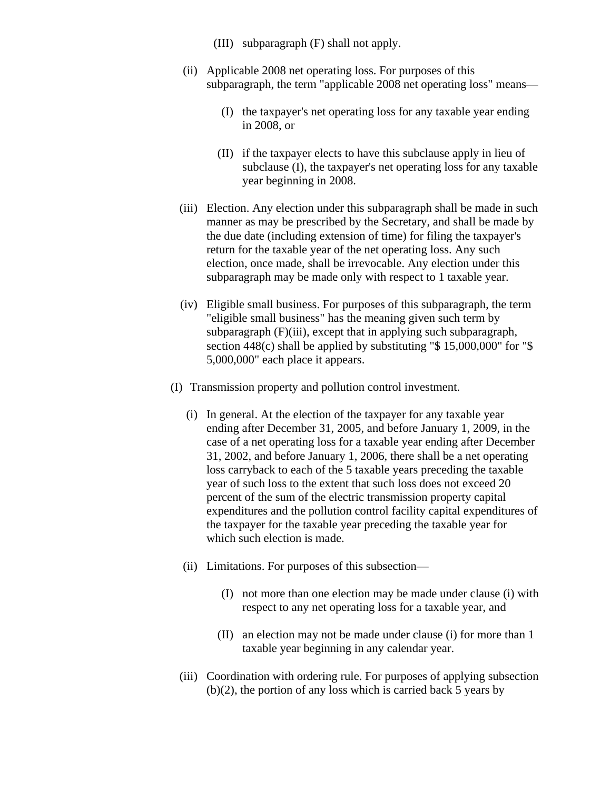- (III) subparagraph (F) shall not apply.
- (ii) Applicable 2008 net operating loss. For purposes of this subparagraph, the term "applicable 2008 net operating loss" means—
	- (I) the taxpayer's net operating loss for any taxable year ending in 2008, or
	- (II) if the taxpayer elects to have this subclause apply in lieu of subclause (I), the taxpayer's net operating loss for any taxable year beginning in 2008.
- (iii) Election. Any election under this subparagraph shall be made in such manner as may be prescribed by the Secretary, and shall be made by the due date (including extension of time) for filing the taxpayer's return for the taxable year of the net operating loss. Any such election, once made, shall be irrevocable. Any election under this subparagraph may be made only with respect to 1 taxable year.
- (iv) Eligible small business. For purposes of this subparagraph, the term "eligible small business" has the meaning given such term by subparagraph (F)(iii), except that in applying such subparagraph, section 448(c) shall be applied by substituting "\$ 15,000,000" for "\$ 5,000,000" each place it appears.
- (I) Transmission property and pollution control investment.
	- (i) In general. At the election of the taxpayer for any taxable year ending after December 31, 2005, and before January 1, 2009, in the case of a net operating loss for a taxable year ending after December 31, 2002, and before January 1, 2006, there shall be a net operating loss carryback to each of the 5 taxable years preceding the taxable year of such loss to the extent that such loss does not exceed 20 percent of the sum of the electric transmission property capital expenditures and the pollution control facility capital expenditures of the taxpayer for the taxable year preceding the taxable year for which such election is made.
	- (ii) Limitations. For purposes of this subsection—
		- (I) not more than one election may be made under clause (i) with respect to any net operating loss for a taxable year, and
		- (II) an election may not be made under clause (i) for more than 1 taxable year beginning in any calendar year.
	- (iii) Coordination with ordering rule. For purposes of applying subsection (b)(2), the portion of any loss which is carried back 5 years by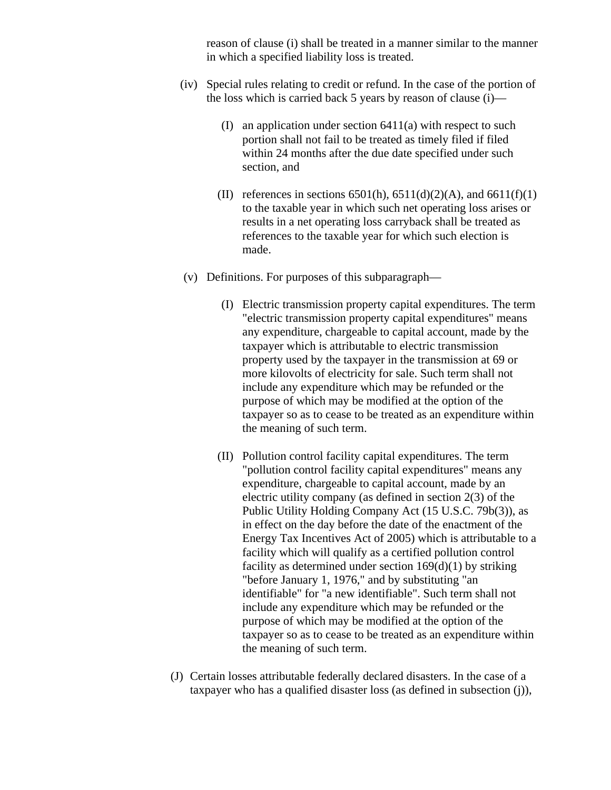reason of clause (i) shall be treated in a manner similar to the manner in which a specified liability loss is treated.

- (iv) Special rules relating to credit or refund. In the case of the portion of the loss which is carried back 5 years by reason of clause (i)—
	- (I) an application under section 6411(a) with respect to such portion shall not fail to be treated as timely filed if filed within 24 months after the due date specified under such section, and
	- (II) references in sections  $6501(h)$ ,  $6511(d)(2)(A)$ , and  $6611(f)(1)$ to the taxable year in which such net operating loss arises or results in a net operating loss carryback shall be treated as references to the taxable year for which such election is made.
- (v) Definitions. For purposes of this subparagraph—
	- (I) Electric transmission property capital expenditures. The term "electric transmission property capital expenditures" means any expenditure, chargeable to capital account, made by the taxpayer which is attributable to electric transmission property used by the taxpayer in the transmission at 69 or more kilovolts of electricity for sale. Such term shall not include any expenditure which may be refunded or the purpose of which may be modified at the option of the taxpayer so as to cease to be treated as an expenditure within the meaning of such term.
	- (II) Pollution control facility capital expenditures. The term "pollution control facility capital expenditures" means any expenditure, chargeable to capital account, made by an electric utility company (as defined in section 2(3) of the Public Utility Holding Company Act (15 U.S.C. 79b(3)), as in effect on the day before the date of the enactment of the Energy Tax Incentives Act of 2005) which is attributable to a facility which will qualify as a certified pollution control facility as determined under section  $169(d)(1)$  by striking "before January 1, 1976," and by substituting "an identifiable" for "a new identifiable". Such term shall not include any expenditure which may be refunded or the purpose of which may be modified at the option of the taxpayer so as to cease to be treated as an expenditure within the meaning of such term.
- (J) Certain losses attributable federally declared disasters. In the case of a taxpayer who has a qualified disaster loss (as defined in subsection (j)),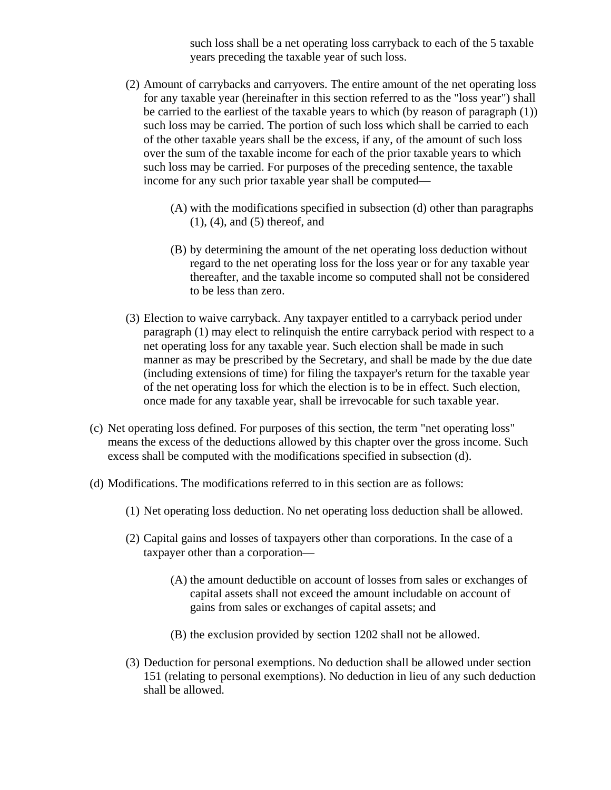such loss shall be a net operating loss carryback to each of the 5 taxable years preceding the taxable year of such loss.

- (2) Amount of carrybacks and carryovers. The entire amount of the net operating loss for any taxable year (hereinafter in this section referred to as the "loss year") shall be carried to the earliest of the taxable years to which (by reason of paragraph (1)) such loss may be carried. The portion of such loss which shall be carried to each of the other taxable years shall be the excess, if any, of the amount of such loss over the sum of the taxable income for each of the prior taxable years to which such loss may be carried. For purposes of the preceding sentence, the taxable income for any such prior taxable year shall be computed—
	- (A) with the modifications specified in subsection (d) other than paragraphs (1), (4), and (5) thereof, and
	- (B) by determining the amount of the net operating loss deduction without regard to the net operating loss for the loss year or for any taxable year thereafter, and the taxable income so computed shall not be considered to be less than zero.
- (3) Election to waive carryback. Any taxpayer entitled to a carryback period under paragraph (1) may elect to relinquish the entire carryback period with respect to a net operating loss for any taxable year. Such election shall be made in such manner as may be prescribed by the Secretary, and shall be made by the due date (including extensions of time) for filing the taxpayer's return for the taxable year of the net operating loss for which the election is to be in effect. Such election, once made for any taxable year, shall be irrevocable for such taxable year.
- (c) Net operating loss defined. For purposes of this section, the term "net operating loss" means the excess of the deductions allowed by this chapter over the gross income. Such excess shall be computed with the modifications specified in subsection (d).
- (d) Modifications. The modifications referred to in this section are as follows:
	- (1) Net operating loss deduction. No net operating loss deduction shall be allowed.
	- (2) Capital gains and losses of taxpayers other than corporations. In the case of a taxpayer other than a corporation—
		- (A) the amount deductible on account of losses from sales or exchanges of capital assets shall not exceed the amount includable on account of gains from sales or exchanges of capital assets; and
		- (B) the exclusion provided by section 1202 shall not be allowed.
	- (3) Deduction for personal exemptions. No deduction shall be allowed under section 151 (relating to personal exemptions). No deduction in lieu of any such deduction shall be allowed.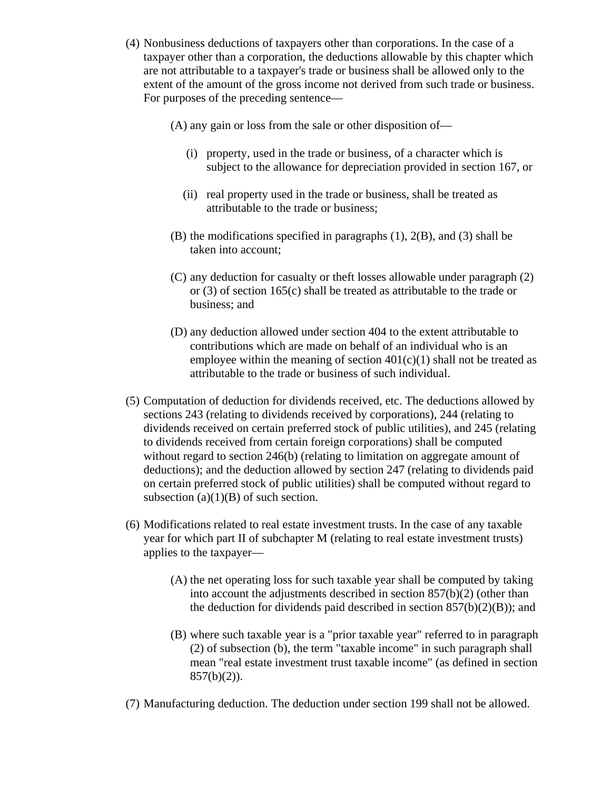- (4) Nonbusiness deductions of taxpayers other than corporations. In the case of a taxpayer other than a corporation, the deductions allowable by this chapter which are not attributable to a taxpayer's trade or business shall be allowed only to the extent of the amount of the gross income not derived from such trade or business. For purposes of the preceding sentence—
	- (A) any gain or loss from the sale or other disposition of—
		- (i) property, used in the trade or business, of a character which is subject to the allowance for depreciation provided in section 167, or
		- (ii) real property used in the trade or business, shall be treated as attributable to the trade or business;
	- (B) the modifications specified in paragraphs (1), 2(B), and (3) shall be taken into account;
	- (C) any deduction for casualty or theft losses allowable under paragraph (2) or (3) of section 165(c) shall be treated as attributable to the trade or business; and
	- (D) any deduction allowed under section 404 to the extent attributable to contributions which are made on behalf of an individual who is an employee within the meaning of section  $401(c)(1)$  shall not be treated as attributable to the trade or business of such individual.
- (5) Computation of deduction for dividends received, etc. The deductions allowed by sections 243 (relating to dividends received by corporations), 244 (relating to dividends received on certain preferred stock of public utilities), and 245 (relating to dividends received from certain foreign corporations) shall be computed without regard to section 246(b) (relating to limitation on aggregate amount of deductions); and the deduction allowed by section 247 (relating to dividends paid on certain preferred stock of public utilities) shall be computed without regard to subsection  $(a)(1)(B)$  of such section.
- (6) Modifications related to real estate investment trusts. In the case of any taxable year for which part II of subchapter M (relating to real estate investment trusts) applies to the taxpayer—
	- (A) the net operating loss for such taxable year shall be computed by taking into account the adjustments described in section 857(b)(2) (other than the deduction for dividends paid described in section  $857(b)(2)(B)$ ; and
	- (B) where such taxable year is a "prior taxable year" referred to in paragraph (2) of subsection (b), the term "taxable income" in such paragraph shall mean "real estate investment trust taxable income" (as defined in section  $857(b)(2)$ ).
- (7) Manufacturing deduction. The deduction under section 199 shall not be allowed.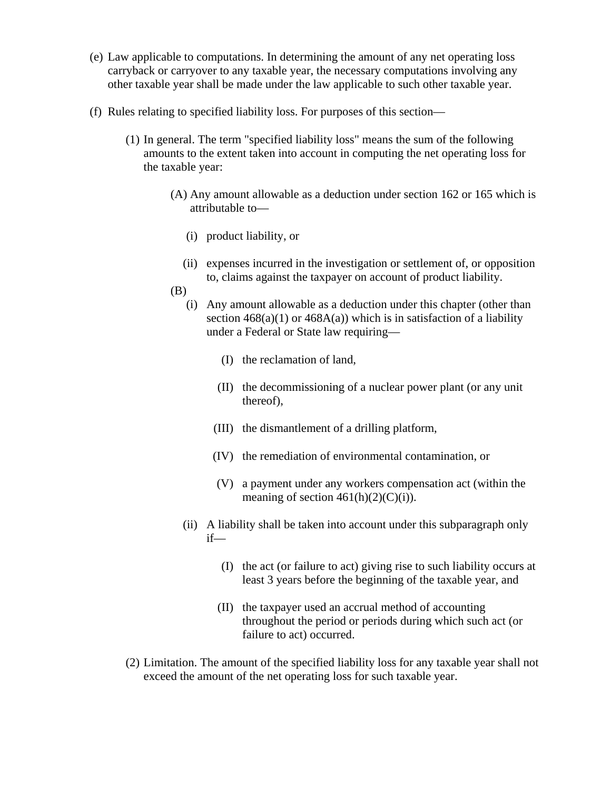- (e) Law applicable to computations. In determining the amount of any net operating loss carryback or carryover to any taxable year, the necessary computations involving any other taxable year shall be made under the law applicable to such other taxable year.
- (f) Rules relating to specified liability loss. For purposes of this section—
	- (1) In general. The term "specified liability loss" means the sum of the following amounts to the extent taken into account in computing the net operating loss for the taxable year:
		- (A) Any amount allowable as a deduction under section 162 or 165 which is attributable to—
			- (i) product liability, or
			- (ii) expenses incurred in the investigation or settlement of, or opposition to, claims against the taxpayer on account of product liability.
		- (B)
			- (i) Any amount allowable as a deduction under this chapter (other than section  $468(a)(1)$  or  $468A(a)$ ) which is in satisfaction of a liability under a Federal or State law requiring—
				- (I) the reclamation of land,
				- (II) the decommissioning of a nuclear power plant (or any unit thereof),
				- (III) the dismantlement of a drilling platform,
				- (IV) the remediation of environmental contamination, or
				- (V) a payment under any workers compensation act (within the meaning of section  $461(h)(2)(C(i))$ .
			- (ii) A liability shall be taken into account under this subparagraph only if—
				- (I) the act (or failure to act) giving rise to such liability occurs at least 3 years before the beginning of the taxable year, and
				- (II) the taxpayer used an accrual method of accounting throughout the period or periods during which such act (or failure to act) occurred.
	- (2) Limitation. The amount of the specified liability loss for any taxable year shall not exceed the amount of the net operating loss for such taxable year.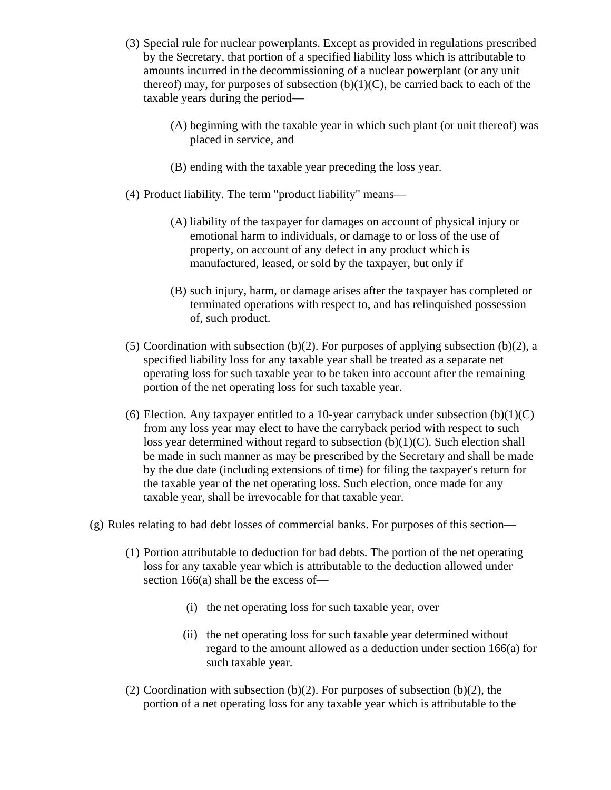- (3) Special rule for nuclear powerplants. Except as provided in regulations prescribed by the Secretary, that portion of a specified liability loss which is attributable to amounts incurred in the decommissioning of a nuclear powerplant (or any unit thereof) may, for purposes of subsection  $(b)(1)(C)$ , be carried back to each of the taxable years during the period—
	- (A) beginning with the taxable year in which such plant (or unit thereof) was placed in service, and
	- (B) ending with the taxable year preceding the loss year.
- (4) Product liability. The term "product liability" means—
	- (A) liability of the taxpayer for damages on account of physical injury or emotional harm to individuals, or damage to or loss of the use of property, on account of any defect in any product which is manufactured, leased, or sold by the taxpayer, but only if
	- (B) such injury, harm, or damage arises after the taxpayer has completed or terminated operations with respect to, and has relinquished possession of, such product.
- (5) Coordination with subsection (b)(2). For purposes of applying subsection (b)(2), a specified liability loss for any taxable year shall be treated as a separate net operating loss for such taxable year to be taken into account after the remaining portion of the net operating loss for such taxable year.
- (6) Election. Any taxpayer entitled to a 10-year carryback under subsection  $(b)(1)(C)$ from any loss year may elect to have the carryback period with respect to such loss year determined without regard to subsection (b)(1)(C). Such election shall be made in such manner as may be prescribed by the Secretary and shall be made by the due date (including extensions of time) for filing the taxpayer's return for the taxable year of the net operating loss. Such election, once made for any taxable year, shall be irrevocable for that taxable year.
- (g) Rules relating to bad debt losses of commercial banks. For purposes of this section—
	- (1) Portion attributable to deduction for bad debts. The portion of the net operating loss for any taxable year which is attributable to the deduction allowed under section 166(a) shall be the excess of—
		- (i) the net operating loss for such taxable year, over
		- (ii) the net operating loss for such taxable year determined without regard to the amount allowed as a deduction under section 166(a) for such taxable year.
	- (2) Coordination with subsection (b)(2). For purposes of subsection (b)(2), the portion of a net operating loss for any taxable year which is attributable to the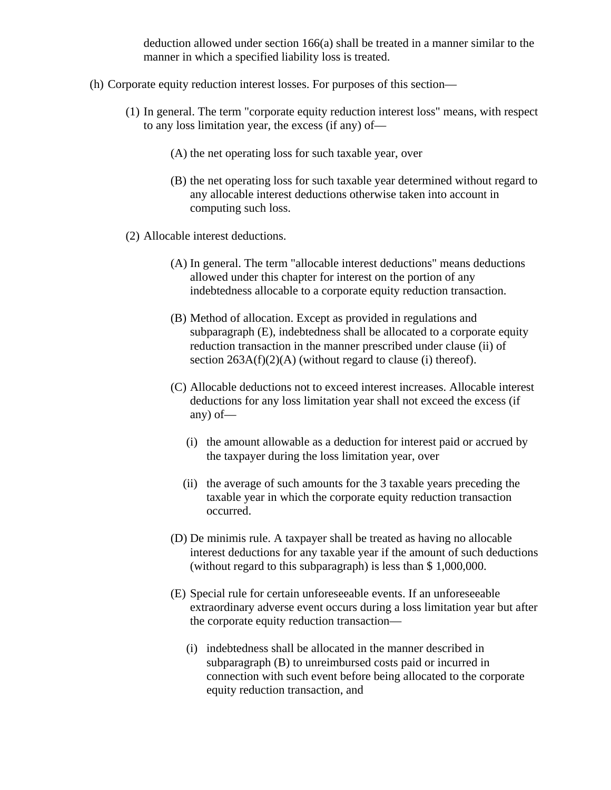deduction allowed under section 166(a) shall be treated in a manner similar to the manner in which a specified liability loss is treated.

- (h) Corporate equity reduction interest losses. For purposes of this section—
	- (1) In general. The term "corporate equity reduction interest loss" means, with respect to any loss limitation year, the excess (if any) of—
		- (A) the net operating loss for such taxable year, over
		- (B) the net operating loss for such taxable year determined without regard to any allocable interest deductions otherwise taken into account in computing such loss.
	- (2) Allocable interest deductions.
		- (A) In general. The term "allocable interest deductions" means deductions allowed under this chapter for interest on the portion of any indebtedness allocable to a corporate equity reduction transaction.
		- (B) Method of allocation. Except as provided in regulations and subparagraph (E), indebtedness shall be allocated to a corporate equity reduction transaction in the manner prescribed under clause (ii) of section  $263A(f)(2)(A)$  (without regard to clause (i) thereof).
		- (C) Allocable deductions not to exceed interest increases. Allocable interest deductions for any loss limitation year shall not exceed the excess (if any) of—
			- (i) the amount allowable as a deduction for interest paid or accrued by the taxpayer during the loss limitation year, over
			- (ii) the average of such amounts for the 3 taxable years preceding the taxable year in which the corporate equity reduction transaction occurred.
		- (D) De minimis rule. A taxpayer shall be treated as having no allocable interest deductions for any taxable year if the amount of such deductions (without regard to this subparagraph) is less than \$ 1,000,000.
		- (E) Special rule for certain unforeseeable events. If an unforeseeable extraordinary adverse event occurs during a loss limitation year but after the corporate equity reduction transaction—
			- (i) indebtedness shall be allocated in the manner described in subparagraph (B) to unreimbursed costs paid or incurred in connection with such event before being allocated to the corporate equity reduction transaction, and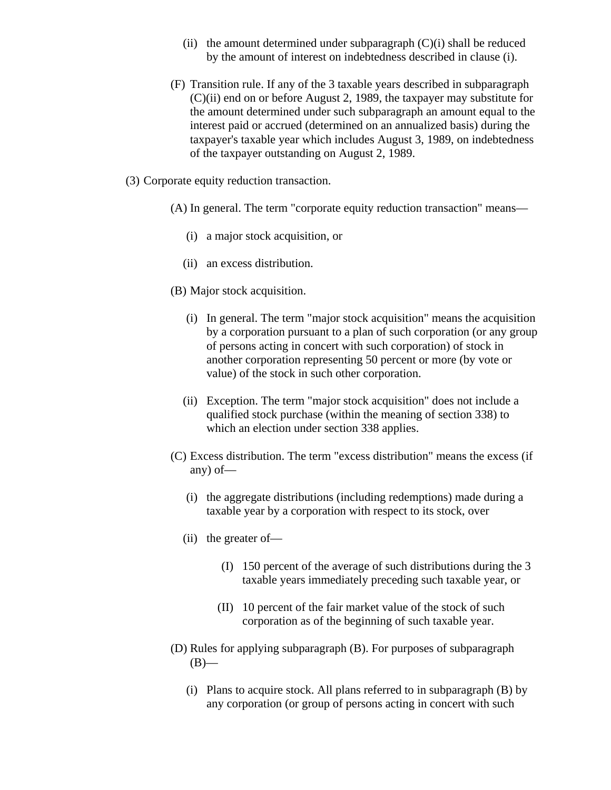- (ii) the amount determined under subparagraph  $(C)(i)$  shall be reduced by the amount of interest on indebtedness described in clause (i).
- (F) Transition rule. If any of the 3 taxable years described in subparagraph (C)(ii) end on or before August 2, 1989, the taxpayer may substitute for the amount determined under such subparagraph an amount equal to the interest paid or accrued (determined on an annualized basis) during the taxpayer's taxable year which includes August 3, 1989, on indebtedness of the taxpayer outstanding on August 2, 1989.
- (3) Corporate equity reduction transaction.
	- (A) In general. The term "corporate equity reduction transaction" means—
		- (i) a major stock acquisition, or
		- (ii) an excess distribution.
	- (B) Major stock acquisition.
		- (i) In general. The term "major stock acquisition" means the acquisition by a corporation pursuant to a plan of such corporation (or any group of persons acting in concert with such corporation) of stock in another corporation representing 50 percent or more (by vote or value) of the stock in such other corporation.
		- (ii) Exception. The term "major stock acquisition" does not include a qualified stock purchase (within the meaning of section 338) to which an election under section 338 applies.
	- (C) Excess distribution. The term "excess distribution" means the excess (if any) of—
		- (i) the aggregate distributions (including redemptions) made during a taxable year by a corporation with respect to its stock, over
		- (ii) the greater of—
			- (I) 150 percent of the average of such distributions during the 3 taxable years immediately preceding such taxable year, or
			- (II) 10 percent of the fair market value of the stock of such corporation as of the beginning of such taxable year.
	- (D) Rules for applying subparagraph (B). For purposes of subparagraph  $(B)$ —
		- (i) Plans to acquire stock. All plans referred to in subparagraph (B) by any corporation (or group of persons acting in concert with such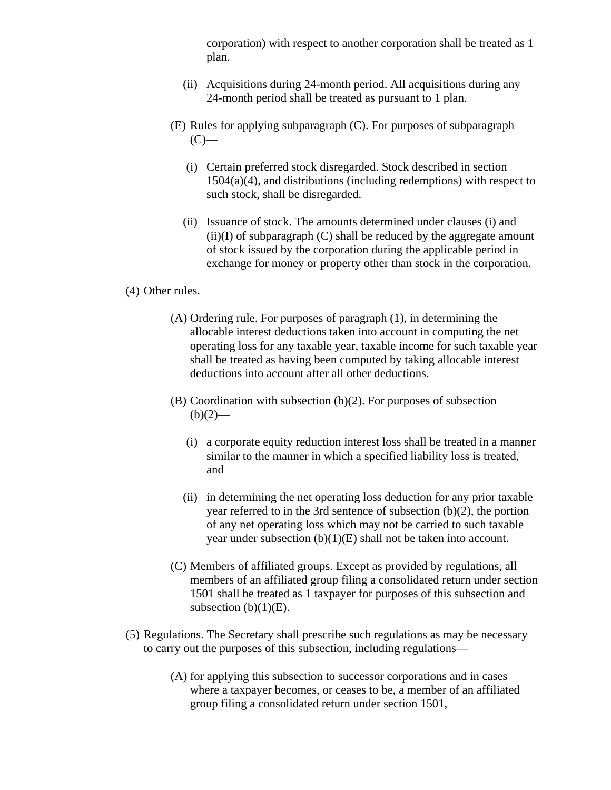corporation) with respect to another corporation shall be treated as 1 plan.

- (ii) Acquisitions during 24-month period. All acquisitions during any 24-month period shall be treated as pursuant to 1 plan.
- (E) Rules for applying subparagraph (C). For purposes of subparagraph  $(C)$ —
	- (i) Certain preferred stock disregarded. Stock described in section  $1504(a)(4)$ , and distributions (including redemptions) with respect to such stock, shall be disregarded.
	- (ii) Issuance of stock. The amounts determined under clauses (i) and  $(ii)(I)$  of subparagraph  $(C)$  shall be reduced by the aggregate amount of stock issued by the corporation during the applicable period in exchange for money or property other than stock in the corporation.

## (4) Other rules.

- (A) Ordering rule. For purposes of paragraph (1), in determining the allocable interest deductions taken into account in computing the net operating loss for any taxable year, taxable income for such taxable year shall be treated as having been computed by taking allocable interest deductions into account after all other deductions.
- (B) Coordination with subsection (b)(2). For purposes of subsection  $(b)(2)$ —
	- (i) a corporate equity reduction interest loss shall be treated in a manner similar to the manner in which a specified liability loss is treated, and
	- (ii) in determining the net operating loss deduction for any prior taxable year referred to in the 3rd sentence of subsection (b)(2), the portion of any net operating loss which may not be carried to such taxable year under subsection (b)(1)(E) shall not be taken into account.
- (C) Members of affiliated groups. Except as provided by regulations, all members of an affiliated group filing a consolidated return under section 1501 shall be treated as 1 taxpayer for purposes of this subsection and subsection  $(b)(1)(E)$ .
- (5) Regulations. The Secretary shall prescribe such regulations as may be necessary to carry out the purposes of this subsection, including regulations—
	- (A) for applying this subsection to successor corporations and in cases where a taxpayer becomes, or ceases to be, a member of an affiliated group filing a consolidated return under section 1501,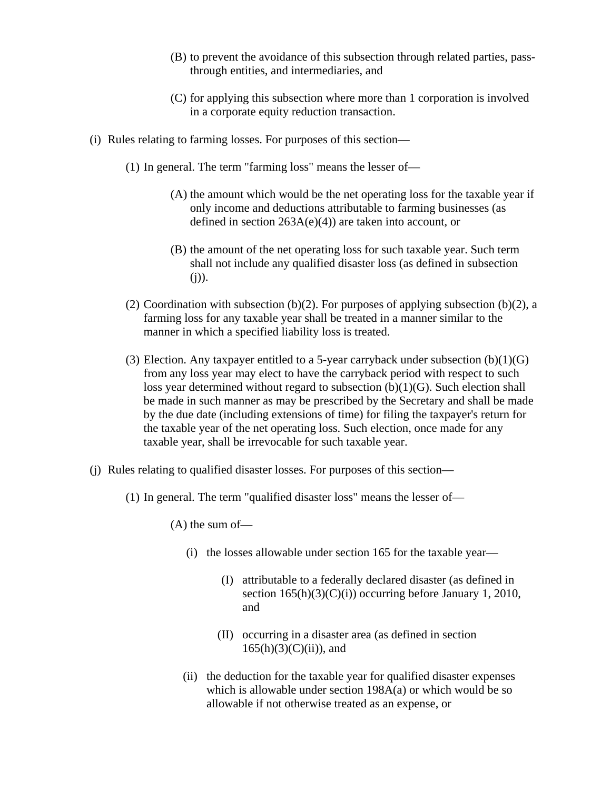- (B) to prevent the avoidance of this subsection through related parties, passthrough entities, and intermediaries, and
- (C) for applying this subsection where more than 1 corporation is involved in a corporate equity reduction transaction.
- (i) Rules relating to farming losses. For purposes of this section—
	- (1) In general. The term "farming loss" means the lesser of—
		- (A) the amount which would be the net operating loss for the taxable year if only income and deductions attributable to farming businesses (as defined in section 263A(e)(4)) are taken into account, or
		- (B) the amount of the net operating loss for such taxable year. Such term shall not include any qualified disaster loss (as defined in subsection  $(j)$ ).
	- (2) Coordination with subsection (b)(2). For purposes of applying subsection (b)(2), a farming loss for any taxable year shall be treated in a manner similar to the manner in which a specified liability loss is treated.
	- (3) Election. Any taxpayer entitled to a 5-year carryback under subsection  $(b)(1)(G)$ from any loss year may elect to have the carryback period with respect to such loss year determined without regard to subsection (b)(1)(G). Such election shall be made in such manner as may be prescribed by the Secretary and shall be made by the due date (including extensions of time) for filing the taxpayer's return for the taxable year of the net operating loss. Such election, once made for any taxable year, shall be irrevocable for such taxable year.
- (j) Rules relating to qualified disaster losses. For purposes of this section—
	- (1) In general. The term "qualified disaster loss" means the lesser of—

(A) the sum of—

- (i) the losses allowable under section 165 for the taxable year—
	- (I) attributable to a federally declared disaster (as defined in section  $165(h)(3)(C)(i)$ ) occurring before January 1, 2010, and
	- (II) occurring in a disaster area (as defined in section  $165(h)(3)(C)(ii)$ , and
- (ii) the deduction for the taxable year for qualified disaster expenses which is allowable under section 198A(a) or which would be so allowable if not otherwise treated as an expense, or